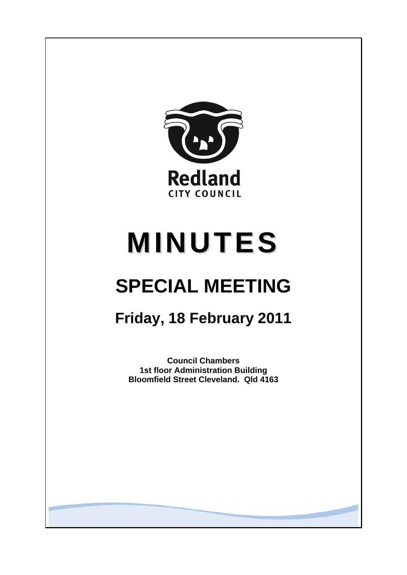

# **MINUTES**

## **SPECIAL MEETING**

### **Friday, 18 February 2011**

**Council Chambers 1st floor Administration Building Bloomfield Street Cleveland. Qld 4163**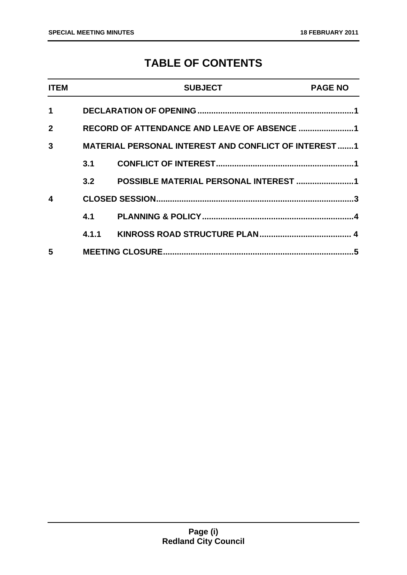### **TABLE OF CONTENTS**

| <b>ITEM</b>  |     | <b>SUBJECT</b>                                               | <b>PAGE NO</b> |
|--------------|-----|--------------------------------------------------------------|----------------|
| 1            |     |                                                              |                |
| $\mathbf{2}$ |     |                                                              |                |
| 3            |     | <b>MATERIAL PERSONAL INTEREST AND CONFLICT OF INTEREST 1</b> |                |
|              | 3.1 |                                                              |                |
|              | 3.2 | POSSIBLE MATERIAL PERSONAL INTEREST 1                        |                |
| 4            |     |                                                              |                |
|              |     |                                                              |                |
|              |     |                                                              |                |
| 5            |     |                                                              |                |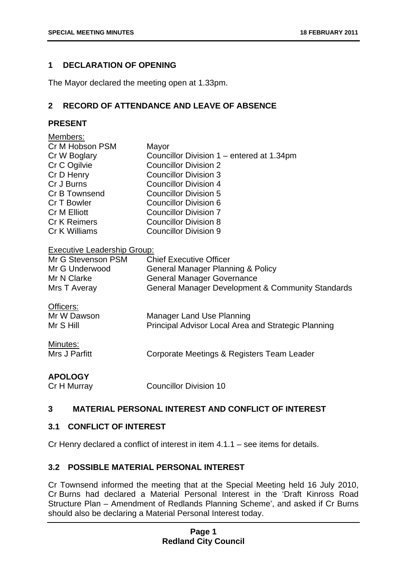#### <span id="page-2-0"></span>**1 DECLARATION OF OPENING**

The Mayor declared the meeting open at 1.33pm.

#### **2 RECORD OF ATTENDANCE AND LEAVE OF ABSENCE**

#### **PRESENT**

| Members:                                                                                   |                                                                                         |  |  |
|--------------------------------------------------------------------------------------------|-----------------------------------------------------------------------------------------|--|--|
| Cr M Hobson PSM                                                                            | Mayor                                                                                   |  |  |
| Cr W Boglary                                                                               | Councillor Division 1 – entered at 1.34pm                                               |  |  |
| Cr C Ogilvie                                                                               | <b>Councillor Division 2</b>                                                            |  |  |
| Cr D Henry                                                                                 | <b>Councillor Division 3</b>                                                            |  |  |
| Cr J Burns                                                                                 | <b>Councillor Division 4</b>                                                            |  |  |
| Cr B Townsend                                                                              | <b>Councillor Division 5</b>                                                            |  |  |
| Cr T Bowler                                                                                | Councillor Division 6                                                                   |  |  |
| Cr M Elliott                                                                               | <b>Councillor Division 7</b>                                                            |  |  |
| <b>Cr K Reimers</b>                                                                        | <b>Councillor Division 8</b>                                                            |  |  |
| Cr K Williams                                                                              | <b>Councillor Division 9</b>                                                            |  |  |
| <b>Executive Leadership Group:</b><br>Mr G Stevenson PSM<br><b>Chief Executive Officer</b> |                                                                                         |  |  |
| Mr G Underwood                                                                             | <b>General Manager Planning &amp; Policy</b>                                            |  |  |
| Mr N Clarke                                                                                | <b>General Manager Governance</b>                                                       |  |  |
| Mrs T Averay                                                                               | <b>General Manager Development &amp; Community Standards</b>                            |  |  |
| Officers:<br>Mr W Dawson<br>Mr S Hill                                                      | <b>Manager Land Use Planning</b><br>Principal Advisor Local Area and Strategic Planning |  |  |
| Minutes:<br>Mrs J Parfitt                                                                  | Corporate Meetings & Registers Team Leader                                              |  |  |
| <b>APOLOGY</b>                                                                             |                                                                                         |  |  |

Cr H Murray Councillor Division 10

#### **3 MATERIAL PERSONAL INTEREST AND CONFLICT OF INTEREST**

#### **3.1 CONFLICT OF INTEREST**

Cr Henry declared a conflict of interest in item 4.1.1 – see items for details.

#### **3.2 POSSIBLE MATERIAL PERSONAL INTEREST**

Cr Townsend informed the meeting that at the Special Meeting held 16 July 2010, Cr Burns had declared a Material Personal Interest in the 'Draft Kinross Road Structure Plan – Amendment of Redlands Planning Scheme', and asked if Cr Burns should also be declaring a Material Personal Interest today.

#### **Page 1 Redland City Council**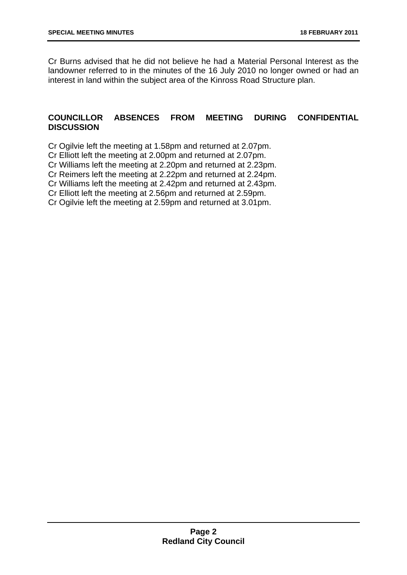Cr Burns advised that he did not believe he had a Material Personal Interest as the landowner referred to in the minutes of the 16 July 2010 no longer owned or had an interest in land within the subject area of the Kinross Road Structure plan.

#### **COUNCILLOR ABSENCES FROM MEETING DURING CONFIDENTIAL DISCUSSION**

Cr Ogilvie left the meeting at 1.58pm and returned at 2.07pm.

Cr Elliott left the meeting at 2.00pm and returned at 2.07pm.

Cr Williams left the meeting at 2.20pm and returned at 2.23pm.

Cr Reimers left the meeting at 2.22pm and returned at 2.24pm.

Cr Williams left the meeting at 2.42pm and returned at 2.43pm.

Cr Elliott left the meeting at 2.56pm and returned at 2.59pm.

Cr Ogilvie left the meeting at 2.59pm and returned at 3.01pm.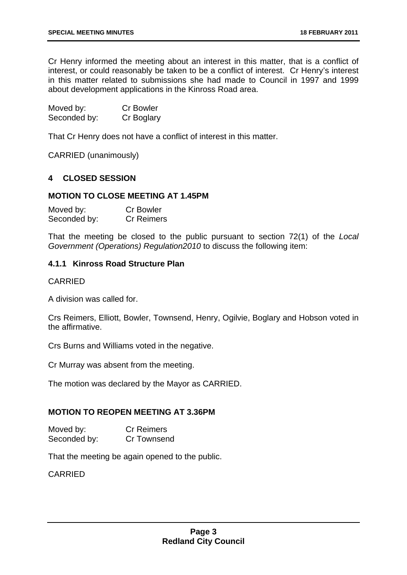<span id="page-4-0"></span>Cr Henry informed the meeting about an interest in this matter, that is a conflict of interest, or could reasonably be taken to be a conflict of interest. Cr Henry's interest in this matter related to submissions she had made to Council in 1997 and 1999 about development applications in the Kinross Road area.

| Moved by:    | <b>Cr Bowler</b> |
|--------------|------------------|
| Seconded by: | Cr Boglary       |

That Cr Henry does not have a conflict of interest in this matter.

CARRIED (unanimously)

#### **4 CLOSED SESSION**

#### **MOTION TO CLOSE MEETING AT 1.45PM**

| Moved by:    | <b>Cr Bowler</b>  |
|--------------|-------------------|
| Seconded by: | <b>Cr Reimers</b> |

That the meeting be closed to the public pursuant to section 72(1) of the *Local Government (Operations) Regulation2010* to discuss the following item:

#### **4.1.1 Kinross Road Structure Plan**

#### CARRIED

A division was called for.

Crs Reimers, Elliott, Bowler, Townsend, Henry, Ogilvie, Boglary and Hobson voted in the affirmative.

Crs Burns and Williams voted in the negative.

Cr Murray was absent from the meeting.

The motion was declared by the Mayor as CARRIED.

#### **MOTION TO REOPEN MEETING AT 3.36PM**

Moved by: Cr Reimers Seconded by: Cr Townsend

That the meeting be again opened to the public.

CARRIED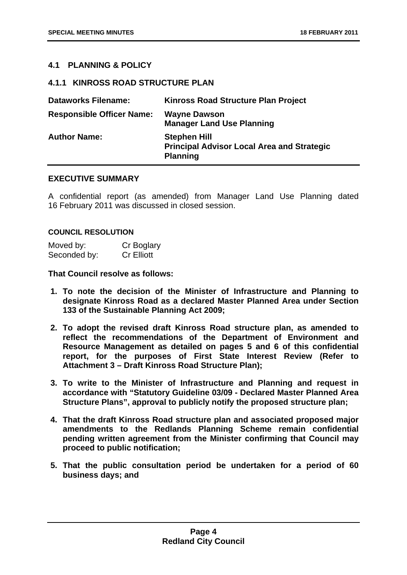#### <span id="page-5-0"></span>**4.1 PLANNING & POLICY**

#### **4.1.1 KINROSS ROAD STRUCTURE PLAN**

| <b>Dataworks Filename:</b>       | <b>Kinross Road Structure Plan Project</b>                                                  |
|----------------------------------|---------------------------------------------------------------------------------------------|
| <b>Responsible Officer Name:</b> | <b>Wayne Dawson</b><br><b>Manager Land Use Planning</b>                                     |
| <b>Author Name:</b>              | <b>Stephen Hill</b><br><b>Principal Advisor Local Area and Strategic</b><br><b>Planning</b> |

#### **EXECUTIVE SUMMARY**

A confidential report (as amended) from Manager Land Use Planning dated 16 February 2011 was discussed in closed session.

#### **COUNCIL RESOLUTION**

| Moved by:    | Cr Boglary        |
|--------------|-------------------|
| Seconded by: | <b>Cr Elliott</b> |

**That Council resolve as follows:** 

- **1. To note the decision of the Minister of Infrastructure and Planning to designate Kinross Road as a declared Master Planned Area under Section 133 of the Sustainable Planning Act 2009;**
- **2. To adopt the revised draft Kinross Road structure plan, as amended to reflect the recommendations of the Department of Environment and Resource Management as detailed on pages 5 and 6 of this confidential report, for the purposes of First State Interest Review (Refer to Attachment 3 – Draft Kinross Road Structure Plan);**
- **3. To write to the Minister of Infrastructure and Planning and request in accordance with "Statutory Guideline 03/09 - Declared Master Planned Area Structure Plans", approval to publicly notify the proposed structure plan;**
- **4. That the draft Kinross Road structure plan and associated proposed major amendments to the Redlands Planning Scheme remain confidential pending written agreement from the Minister confirming that Council may proceed to public notification;**
- **5. That the public consultation period be undertaken for a period of 60 business days; and**